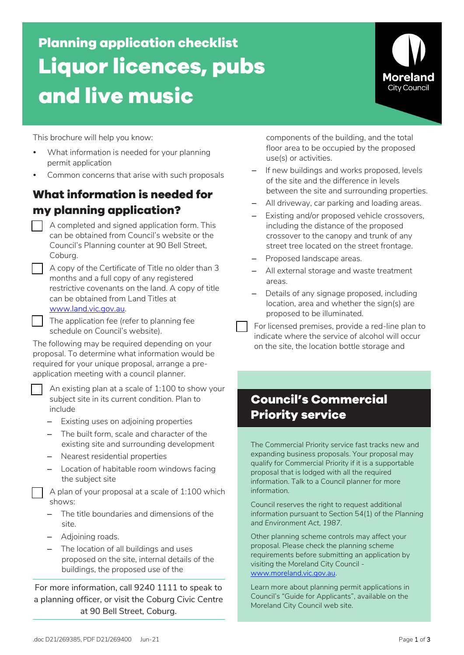**Planning application checklist Liquor licences, pubs and live music**



This brochure will help you know:

- What information is needed for your planning permit application
- Common concerns that arise with such proposals

### **What information is needed for my planning application?**

- A completed and signed application form. This can be obtained from Council's website or the Council's Planning counter at 90 Bell Street, Coburg.
- A copy of the Certificate of Title no older than 3 months and a full copy of any registered restrictive covenants on the land. A copy of title can be obtained from Land Titles at www.land.vic.gov.au.
- The application fee (refer to planning fee schedule on Council's website).

The following may be required depending on your proposal. To determine what information would be required for your unique proposal, arrange a preapplication meeting with a council planner.

 An existing plan at a scale of 1:100 to show your subject site in its current condition. Plan to include

- Existing uses on adjoining properties
- The built form, scale and character of the existing site and surrounding development
- Nearest residential properties
- Location of habitable room windows facing the subject site

 A plan of your proposal at a scale of 1:100 which shows:

- The title boundaries and dimensions of the site.
- Adjoining roads.
- The location of all buildings and uses proposed on the site, internal details of the buildings, the proposed use of the

For more information, call 9240 1111 to speak to a planning officer, or visit the Coburg Civic Centre at 90 Bell Street, Coburg.

components of the building, and the total floor area to be occupied by the proposed use(s) or activities.

- If new buildings and works proposed, levels of the site and the difference in levels between the site and surrounding properties.
- All driveway, car parking and loading areas.
- Existing and/or proposed vehicle crossovers, including the distance of the proposed crossover to the canopy and trunk of any street tree located on the street frontage.
- Proposed landscape areas.
- All external storage and waste treatment areas.
- Details of any signage proposed, including location, area and whether the sign(s) are proposed to be illuminated.
- For licensed premises, provide a red-line plan to indicate where the service of alcohol will occur on the site, the location bottle storage and

# **Council's Commercial Priority service**

The Commercial Priority service fast tracks new and expanding business proposals. Your proposal may qualify for Commercial Priority if it is a supportable proposal that is lodged with all the required information. Talk to a Council planner for more information.

Council reserves the right to request additional information pursuant to Section 54(1) of the *Planning and Environment Act, 1987*.

Other planning scheme controls may affect your proposal. Please check the planning scheme requirements before submitting an application by visiting the Moreland City Council www.moreland.vic.gov.au.

Learn more about planning permit applications in Council's "Guide for Applicants", available on the Moreland City Council web site.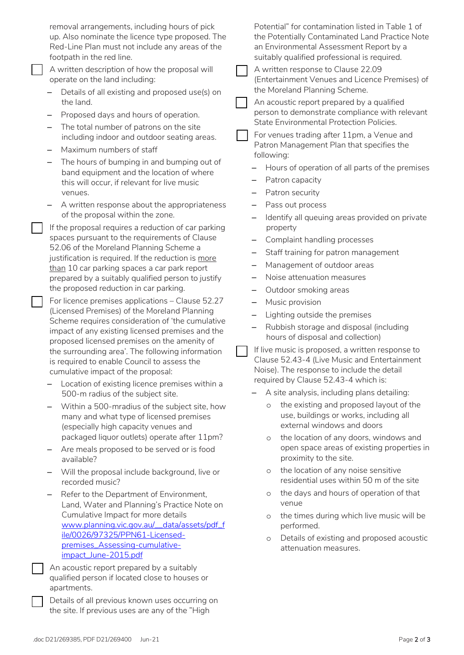|  | removal arrangements, including hours of pick<br>up. Also nominate the licence type proposed. The<br>Red-Line Plan must not include any areas of the<br>footpath in the red line.      |  |                                               | Potential" for contamination listed in Table 1 of<br>the Potentially Contaminated Land Practice Note<br>an Environmental Assessment Report by a<br>suitably qualified professional is required. |  |
|--|----------------------------------------------------------------------------------------------------------------------------------------------------------------------------------------|--|-----------------------------------------------|-------------------------------------------------------------------------------------------------------------------------------------------------------------------------------------------------|--|
|  | A written description of how the proposal will                                                                                                                                         |  | A written response to Clause 22.09            |                                                                                                                                                                                                 |  |
|  | operate on the land including:<br>Details of all existing and proposed use(s) on                                                                                                       |  | the Moreland Planning Scheme.                 | (Entertainment Venues and Licence Premises) of                                                                                                                                                  |  |
|  | the land.<br>Proposed days and hours of operation.                                                                                                                                     |  |                                               | An acoustic report prepared by a qualified<br>person to demonstrate compliance with relevant                                                                                                    |  |
|  | The total number of patrons on the site<br>including indoor and outdoor seating areas.                                                                                                 |  |                                               | State Environmental Protection Policies.<br>For venues trading after 11pm, a Venue and                                                                                                          |  |
|  | Maximum numbers of staff                                                                                                                                                               |  |                                               | Patron Management Plan that specifies the                                                                                                                                                       |  |
|  | The hours of bumping in and bumping out of                                                                                                                                             |  | following:                                    |                                                                                                                                                                                                 |  |
|  | band equipment and the location of where<br>this will occur, if relevant for live music<br>venues.<br>A written response about the appropriateness<br>of the proposal within the zone. |  |                                               | Hours of operation of all parts of the premises                                                                                                                                                 |  |
|  |                                                                                                                                                                                        |  | Patron capacity                               |                                                                                                                                                                                                 |  |
|  |                                                                                                                                                                                        |  | Patron security                               |                                                                                                                                                                                                 |  |
|  |                                                                                                                                                                                        |  | Pass out process                              |                                                                                                                                                                                                 |  |
|  |                                                                                                                                                                                        |  | property                                      | Identify all queuing areas provided on private                                                                                                                                                  |  |
|  | If the proposal requires a reduction of car parking<br>spaces pursuant to the requirements of Clause<br>52.06 of the Moreland Planning Scheme a                                        |  | Complaint handling processes                  |                                                                                                                                                                                                 |  |
|  |                                                                                                                                                                                        |  |                                               | Staff training for patron management                                                                                                                                                            |  |
|  | justification is required. If the reduction is more                                                                                                                                    |  | Management of outdoor areas                   |                                                                                                                                                                                                 |  |
|  | than 10 car parking spaces a car park report<br>prepared by a suitably qualified person to justify                                                                                     |  | Noise attenuation measures                    |                                                                                                                                                                                                 |  |
|  | the proposed reduction in car parking.                                                                                                                                                 |  |                                               |                                                                                                                                                                                                 |  |
|  | For licence premises applications - Clause 52.27                                                                                                                                       |  | Outdoor smoking areas<br>Music provision<br>- |                                                                                                                                                                                                 |  |
|  | (Licensed Premises) of the Moreland Planning                                                                                                                                           |  | Lighting outside the premises<br>-            |                                                                                                                                                                                                 |  |
|  | Scheme requires consideration of 'the cumulative                                                                                                                                       |  |                                               | Rubbish storage and disposal (including                                                                                                                                                         |  |
|  | impact of any existing licensed premises and the<br>proposed licensed premises on the amenity of                                                                                       |  | hours of disposal and collection)             |                                                                                                                                                                                                 |  |
|  | the surrounding area'. The following information                                                                                                                                       |  |                                               | If live music is proposed, a written response to                                                                                                                                                |  |
|  | is required to enable Council to assess the                                                                                                                                            |  |                                               | Clause 52.43-4 (Live Music and Entertainment                                                                                                                                                    |  |
|  | cumulative impact of the proposal:                                                                                                                                                     |  | required by Clause 52.43-4 which is:          | Noise). The response to include the detail                                                                                                                                                      |  |
|  | Location of existing licence premises within a                                                                                                                                         |  |                                               | A site analysis, including plans detailing:                                                                                                                                                     |  |
|  | 500-m radius of the subject site.                                                                                                                                                      |  | $\circ$                                       | the existing and proposed layout of the                                                                                                                                                         |  |
|  | Within a 500-mradius of the subject site, how<br>many and what type of licensed premises<br>(especially high capacity venues and                                                       |  |                                               | use, buildings or works, including all<br>external windows and doors                                                                                                                            |  |
|  | packaged liquor outlets) operate after 11pm?                                                                                                                                           |  | $\circ$                                       | the location of any doors, windows and                                                                                                                                                          |  |
|  | Are meals proposed to be served or is food<br>available?                                                                                                                               |  | proximity to the site.                        | open space areas of existing properties in                                                                                                                                                      |  |
|  | Will the proposal include background, live or<br>recorded music?                                                                                                                       |  | $\circ$                                       | the location of any noise sensitive<br>residential uses within 50 m of the site                                                                                                                 |  |
|  | Refer to the Department of Environment,<br>Land, Water and Planning's Practice Note on                                                                                                 |  | $\circ$<br>venue                              | the days and hours of operation of that                                                                                                                                                         |  |
|  | Cumulative Impact for more details<br>www.planning.vic.gov.au/_data/assets/pdf_f                                                                                                       |  | $\circ$<br>performed.                         | the times during which live music will be                                                                                                                                                       |  |
|  | ile/0026/97325/PPN61-Licensed-                                                                                                                                                         |  | $\circ$                                       | Details of existing and proposed acoustic                                                                                                                                                       |  |
|  | premises_Assessing-cumulative-<br>impact_June-2015.pdf                                                                                                                                 |  | attenuation measures.                         |                                                                                                                                                                                                 |  |
|  | An acoustic report prepared by a suitably                                                                                                                                              |  |                                               |                                                                                                                                                                                                 |  |
|  | qualified person if located close to houses or                                                                                                                                         |  |                                               |                                                                                                                                                                                                 |  |
|  | apartments.                                                                                                                                                                            |  |                                               |                                                                                                                                                                                                 |  |
|  | Details of all previous known uses occurring on<br>the site. If previous uses are any of the "High                                                                                     |  |                                               |                                                                                                                                                                                                 |  |
|  |                                                                                                                                                                                        |  |                                               |                                                                                                                                                                                                 |  |